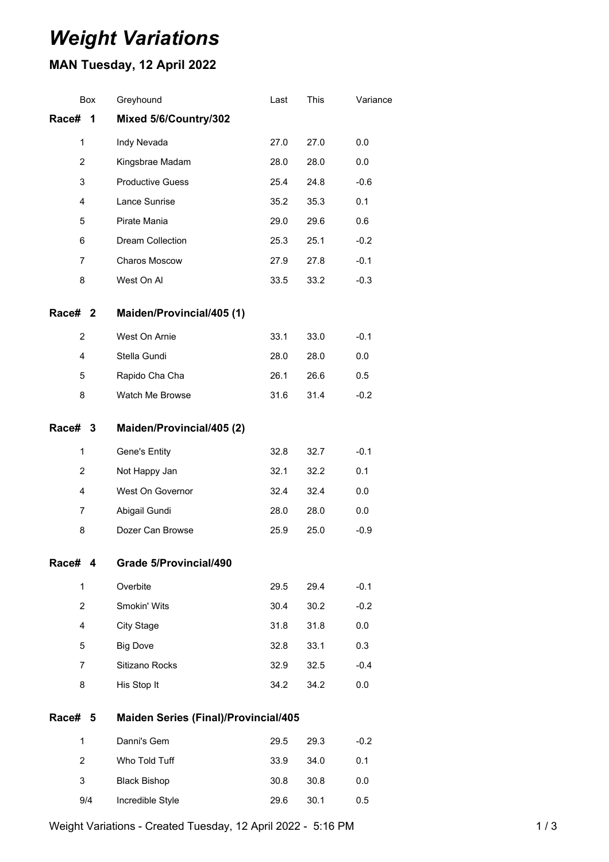# *Weight Variations*

## **MAN Tuesday, 12 April 2022**

|                    | Box                     | Greyhound                                   | Last | This | Variance |
|--------------------|-------------------------|---------------------------------------------|------|------|----------|
| Race#              | $\overline{\mathbf{1}}$ | Mixed 5/6/Country/302                       |      |      |          |
|                    | 1                       | Indy Nevada                                 | 27.0 | 27.0 | 0.0      |
|                    | $\overline{2}$          | Kingsbrae Madam                             | 28.0 | 28.0 | 0.0      |
|                    | 3                       | <b>Productive Guess</b>                     | 25.4 | 24.8 | $-0.6$   |
|                    | 4                       | Lance Sunrise                               | 35.2 | 35.3 | 0.1      |
|                    | 5                       | Pirate Mania                                | 29.0 | 29.6 | 0.6      |
|                    | 6                       | Dream Collection                            | 25.3 | 25.1 | $-0.2$   |
|                    | 7                       | Charos Moscow                               | 27.9 | 27.8 | $-0.1$   |
|                    | 8                       | West On Al                                  | 33.5 | 33.2 | $-0.3$   |
| Race# <sub>2</sub> |                         | Maiden/Provincial/405 (1)                   |      |      |          |
|                    | $\overline{2}$          | West On Arnie                               | 33.1 | 33.0 | $-0.1$   |
|                    | 4                       | Stella Gundi                                | 28.0 | 28.0 | 0.0      |
|                    | 5                       | Rapido Cha Cha                              | 26.1 | 26.6 | 0.5      |
|                    | 8                       | Watch Me Browse                             | 31.6 | 31.4 | $-0.2$   |
| Race# 3            |                         | Maiden/Provincial/405 (2)                   |      |      |          |
|                    | $\mathbf{1}$            | Gene's Entity                               | 32.8 | 32.7 | $-0.1$   |
|                    | 2                       | Not Happy Jan                               | 32.1 | 32.2 | 0.1      |
|                    | 4                       | West On Governor                            | 32.4 | 32.4 | 0.0      |
|                    | 7                       | Abigail Gundi                               | 28.0 | 28.0 | 0.0      |
|                    | 8                       | Dozer Can Browse                            | 25.9 | 25.0 | $-0.9$   |
| Race#              | 4                       | <b>Grade 5/Provincial/490</b>               |      |      |          |
|                    | $\mathbf{1}$            | Overbite                                    | 29.5 | 29.4 | $-0.1$   |
|                    | 2                       | Smokin' Wits                                | 30.4 | 30.2 | $-0.2$   |
|                    | 4                       | <b>City Stage</b>                           | 31.8 | 31.8 | 0.0      |
|                    | 5                       | <b>Big Dove</b>                             | 32.8 | 33.1 | 0.3      |
|                    | 7                       | Sitizano Rocks                              | 32.9 | 32.5 | $-0.4$   |
|                    | 8                       | His Stop It                                 | 34.2 | 34.2 | 0.0      |
| Race#              | 5                       | <b>Maiden Series (Final)/Provincial/405</b> |      |      |          |
|                    | $\mathbf{1}$            | Danni's Gem                                 | 29.5 | 29.3 | $-0.2$   |
|                    | $\overline{2}$          | Who Told Tuff                               | 33.9 | 34.0 | 0.1      |
|                    | 3                       | <b>Black Bishop</b>                         | 30.8 | 30.8 | 0.0      |
|                    | 9/4                     | Incredible Style                            | 29.6 | 30.1 | 0.5      |

Weight Variations - Created Tuesday, 12 April 2022 - 5:16 PM 1 / 3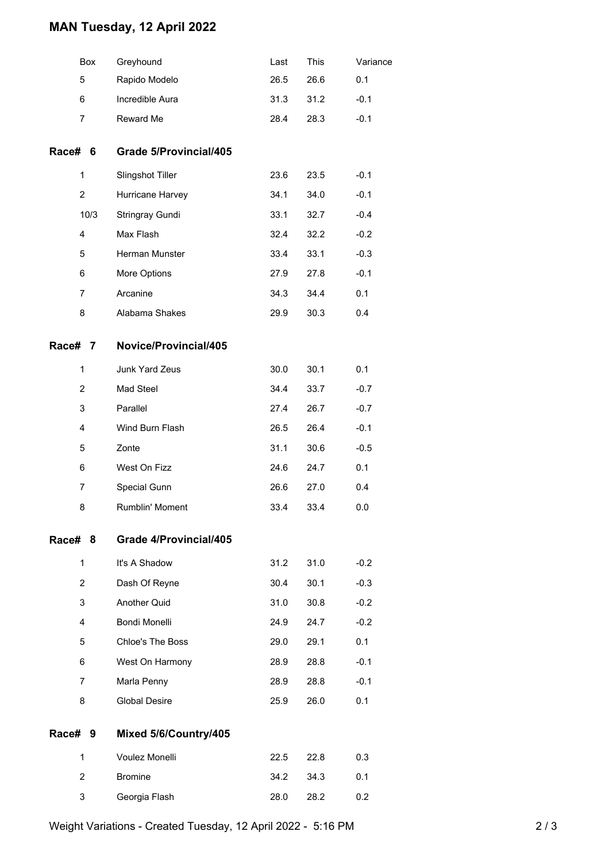### **MAN Tuesday, 12 April 2022**

|                | Box  | Greyhound              | Last | This | Variance |
|----------------|------|------------------------|------|------|----------|
| 5              |      | Rapido Modelo          | 26.5 | 26.6 | 0.1      |
| 6              |      | Incredible Aura        | 31.3 | 31.2 | $-0.1$   |
| $\overline{7}$ |      | Reward Me              | 28.4 | 28.3 | $-0.1$   |
| Race# 6        |      | Grade 5/Provincial/405 |      |      |          |
| 1              |      | Slingshot Tiller       | 23.6 | 23.5 | $-0.1$   |
| $\overline{2}$ |      | Hurricane Harvey       | 34.1 | 34.0 | $-0.1$   |
|                | 10/3 | Stringray Gundi        | 33.1 | 32.7 | $-0.4$   |
| 4              |      | Max Flash              | 32.4 | 32.2 | $-0.2$   |
| 5              |      | Herman Munster         | 33.4 | 33.1 | $-0.3$   |
| 6              |      | More Options           | 27.9 | 27.8 | $-0.1$   |
| $\overline{7}$ |      | Arcanine               | 34.3 | 34.4 | 0.1      |
| 8              |      | Alabama Shakes         | 29.9 | 30.3 | 0.4      |
| Race# 7        |      | Novice/Provincial/405  |      |      |          |
| 1              |      | Junk Yard Zeus         | 30.0 | 30.1 | 0.1      |
| 2              |      | Mad Steel              | 34.4 | 33.7 | $-0.7$   |
| 3              |      | Parallel               | 27.4 | 26.7 | $-0.7$   |
| 4              |      | Wind Burn Flash        | 26.5 | 26.4 | $-0.1$   |
| 5              |      | Zonte                  | 31.1 | 30.6 | $-0.5$   |
| 6              |      | West On Fizz           | 24.6 | 24.7 | 0.1      |
| 7              |      | Special Gunn           | 26.6 | 27.0 | 0.4      |
| 8              |      | Rumblin' Moment        | 33.4 | 33.4 | 0.0      |
| Race# 8        |      | Grade 4/Provincial/405 |      |      |          |
| 1              |      | It's A Shadow          | 31.2 | 31.0 | $-0.2$   |
| 2              |      | Dash Of Reyne          | 30.4 | 30.1 | $-0.3$   |
| 3              |      | Another Quid           | 31.0 | 30.8 | $-0.2$   |
| 4              |      | Bondi Monelli          | 24.9 | 24.7 | $-0.2$   |
| 5              |      | Chloe's The Boss       | 29.0 | 29.1 | 0.1      |
| 6              |      | West On Harmony        | 28.9 | 28.8 | $-0.1$   |
| $\overline{7}$ |      | Marla Penny            | 28.9 | 28.8 | $-0.1$   |
| 8              |      | <b>Global Desire</b>   | 25.9 | 26.0 | 0.1      |
| Race# 9        |      | Mixed 5/6/Country/405  |      |      |          |
| 1              |      | Voulez Monelli         | 22.5 | 22.8 | 0.3      |
| 2              |      | <b>Bromine</b>         | 34.2 | 34.3 | 0.1      |
| 3              |      | Georgia Flash          | 28.0 | 28.2 | 0.2      |
|                |      |                        |      |      |          |

Weight Variations - Created Tuesday, 12 April 2022 - 5:16 PM 2 / 3